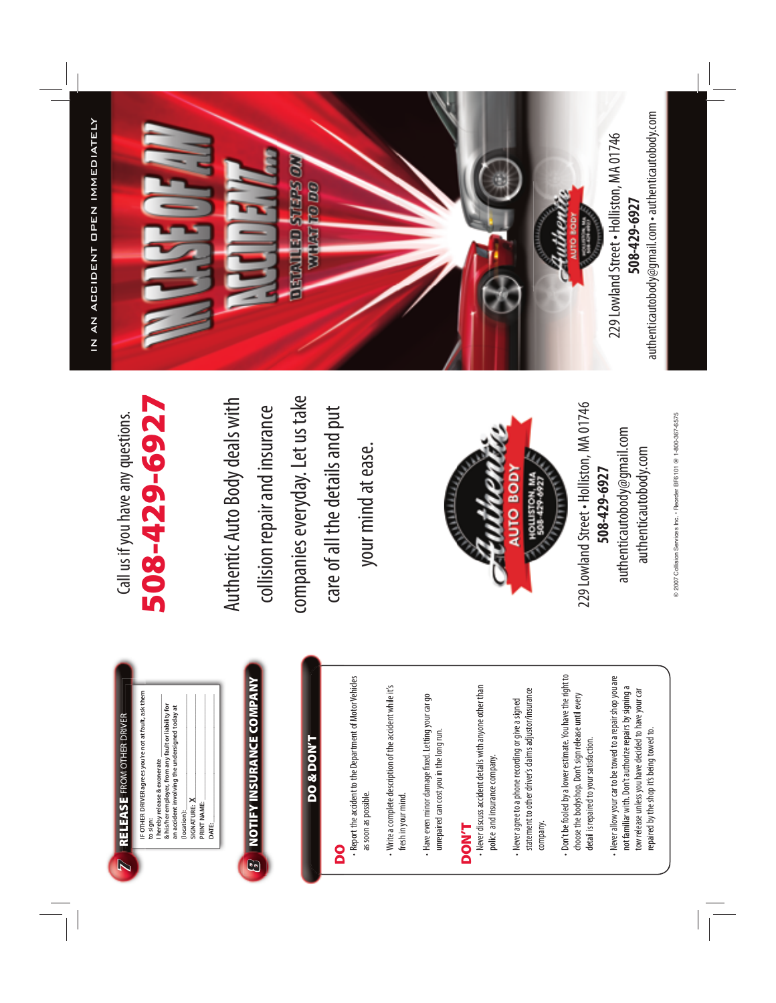authenticautobody@gmail.com • authenticautobody.com authenticautobody@gmail.com • authenticautobody.comIN AN ACCIDENT OPEN IMMEDIATELY IN AN ACCIDENT OPEN IMMEDIATELY 229 Lowland Street . Holliston, MA 01746 229 Lowland Street • Holliston, MA 01746 **BIGHTED STEPS ON WOUNT TO DO** 508-429-6927 **508-429-6927** Auther おおさせ

@ 2007 Collision Services Inc. - Reorder BF6101 @ 1-800-367-6575 © 2007 Collision Services Inc. • Reorder BF6101 @ 1-800-367-6575

authenticautobody.com

authenticautobody.com

## **508-429-6927** 508-429-6927 Call us if you have any questions. Call us if you have any questions.

companies everyday. Let us take companies everyday. Let us take Authentic Auto Body deals with Authentic Auto Body deals with collision repair and insurance collision repair and insurance care of all the details and put care of all the details and put your mind at ease. your mind at ease.



229 Lowland Street . Holliston, MA 01746 229 Lowland Street • Holliston, MA 01746 authenticautobody@gmail.com authenticautobody@gmail.com 508-429-6927 **508-429-6927**

**IF OTHER DRIVER agrees you're not at fault, ask them I** hereby release & exonerate **(location): \_\_\_\_\_\_\_\_\_\_\_\_\_\_\_\_\_\_\_\_\_\_\_\_\_\_\_\_\_\_\_\_\_\_\_ SIGNATURE:**  $X$ **PRINT NAME: \_\_\_\_\_\_\_\_\_\_\_\_\_\_\_\_\_\_\_\_\_\_\_\_\_\_\_\_\_\_\_\_ DATE: \_\_\_\_\_\_\_\_\_\_\_\_\_\_\_\_\_\_\_\_\_\_\_\_\_\_\_\_\_\_\_\_\_\_\_\_\_\_\_** IF OTHER DRIVER agrees you're not at fault, ask the **to sign: & his/her employer, from any fault or liability for an accident involving the undersigned today at X** PRINT NAME: (location): DATE:

*7*

 $\overline{=}$ 

**RELEASE** FROM OTHER DRIVER

**RELEASE** FROM OTHER DRIVER

**8** NOTIFY INSURANCE COMPANY **NOTIFY INSURANCE COMPANY**

### **DO & DON'T DO & DON'T**

#### **DO**

 • Report the accident to the Department of Motor Vehicles - Report the accident to the Department of Motor Vehicles as soon as possible. as soon as possible

 • Write a complete description of the accident while it's - Write a complete description of the accident while it's fresh in your mind. fresh in your mind.

- Have even minor damage fixed. Letting your car go • Have even minor damage fi xed. Letting your car go unrepaired can cost you in the long run. unrepaired can cost you in the long run.

## **DON'T**

- Never discuss accident details with anyone other than • Never discuss accident details with anyone other than police and insurance company. police and insurance company.

statement to other driver's claims adjustor/insurance statement to other driver's claims adjustor/insurance - Never agree to a phone recording or give a signed • Never agree to a phone recording or give a signed company. company. Don't be fooled by a lower estimate. You have the right to • Don't be fooled by a lower estimate. You have the right to choose the bodyshop. Don't sign release until every choose the bodyshop. Don't sign release until every detail is repaired to your satisfaction. detail is repaired to your satisfaction.

 • Never allow your car to be towed to a repair shop you are - Never allow your car to be towed to a repair shop you are not familiar with. Don't authorize repairs by signing a not familiar with. Don't authorize repairs by signing a tow release unless you have decided to have your car tow release unless you have decided to have your car repaired by the shop it's being towed to. repaired by the shop it's being towed to.